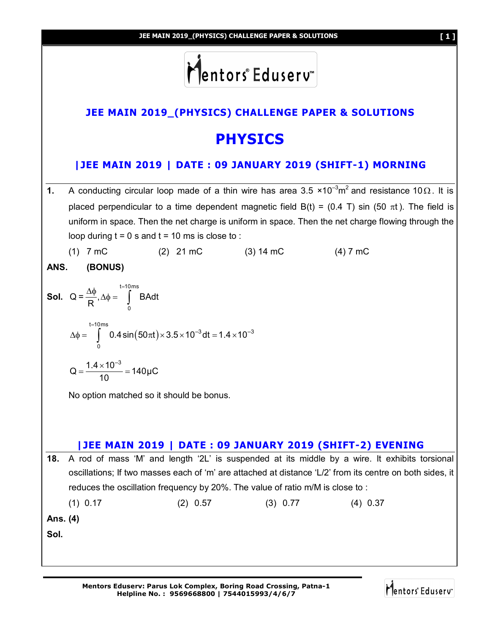



# **JEE MAIN 2019\_(PHYSICS) CHALLENGE PAPER & SOLUTIONS**

# **PHYSICS**

## **|JEE MAIN 2019 | DATE : 09 JANUARY 2019 (SHIFT-1) MORNING**

- **1.** A conducting circular loop made of a thin wire has area 3.5  $\times$ 10<sup>-3</sup>m<sup>2</sup> and resistance 10 $\Omega$ . It is placed perpendicular to a time dependent magnetic field B(t) = (0.4 T) sin (50  $\pi$ t). The field is uniform in space. Then the net charge is uniform in space. Then the net charge flowing through the loop during  $t = 0$  s and  $t = 10$  ms is close to :
	- (1) 7 mC (2) 21 mC (3) 14 mC (4) 7 mC

**ANS. (BONUS)**

10

**Sol.** 
$$
Q = \frac{\Delta \phi}{R}, \Delta \phi = \int_{0}^{t=10 \text{ ms}} BA dt
$$
  
\n
$$
\Delta \phi = \int_{0}^{t=10 \text{ ms}} 0.4 \sin(50 \pi t) \times 3.5 \times 10^{-3} dt = 1.4 \times 10^{-3}
$$
\n
$$
Q = \frac{1.4 \times 10^{-3}}{10} = 140 \mu C
$$

No option matched so it should be bonus.

### **|JEE MAIN 2019 | DATE : 09 JANUARY 2019 (SHIFT-2) EVENING**

**18.** A rod of mass 'M' and length '2L' is suspended at its middle by a wire. It exhibits torsional oscillations; If two masses each of 'm' are attached at distance 'L/2' from its centre on both sides, it reduces the oscillation frequency by 20%. The value of ratio m/M is close to :

(1) 0.17 (2) 0.57 (3) 0.77 (4) 0.37

**Ans. (4)**

**Sol.**

Mentors Eduserv<sup>®</sup>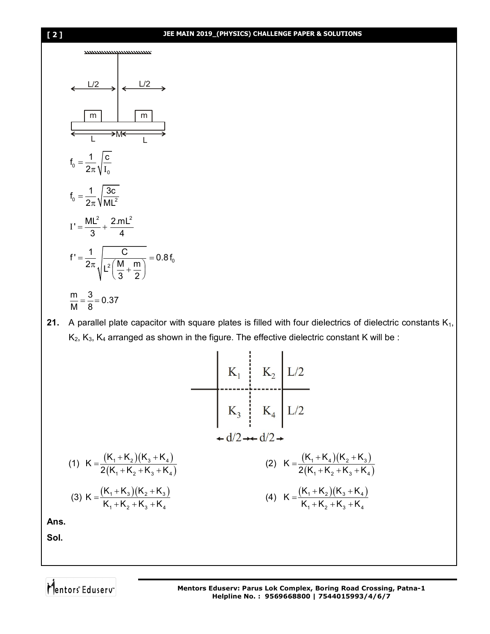#### **[ 2 ] JEE MAIN 2019\_(PHYSICS) CHALLENGE PAPER & SOLUTIONS**



**21.** A parallel plate capacitor with square plates is filled with four dielectrics of dielectric constants K<sub>1</sub>,  $K_2$ ,  $K_3$ ,  $K_4$  arranged as shown in the figure. The effective dielectric constant K will be :

ï

$$
(1) \ \ K = \frac{(K_1 + K_2)(K_3 + K_4)}{2(K_1 + K_2 + K_3 + K_4)} \qquad (2) \ \ K = \frac{(K_1 + K_2)(K_2 + K_3 + K_4)}{2(K_1 + K_2 + K_3 + K_4)} \qquad (3) \ \ K = \frac{(K_1 + K_3)(K_2 + K_3)}{K_1 + K_2 + K_3 + K_4} \qquad (4) \ \ K = \frac{(K_1 + K_2)(K_3 + K_4)}{K_1 + K_2 + K_3 + K_4}
$$

ï

**Ans.**

**Sol.**

Mentors<sup>e</sup> Eduserv<sup>"</sup>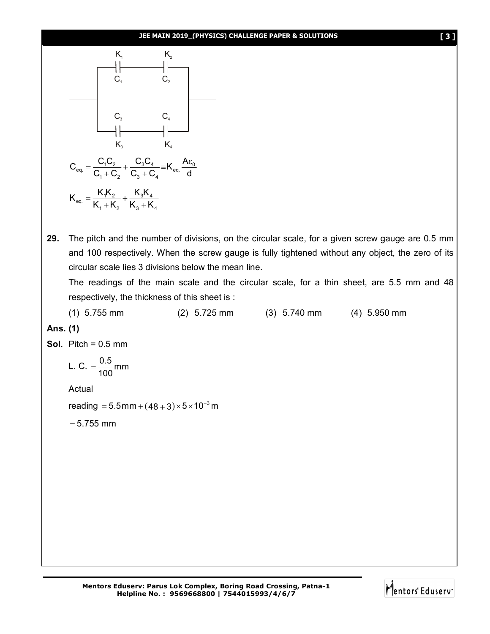#### **JEE MAIN 2019\_(PHYSICS) CHALLENGE PAPER & SOLUTIONS [ 3 ]**



**29.** The pitch and the number of divisions, on the circular scale, for a given screw gauge are 0.5 mm and 100 respectively. When the screw gauge is fully tightened without any object, the zero of its circular scale lies 3 divisions below the mean line.

The readings of the main scale and the circular scale, for a thin sheet, are 5.5 mm and 48 respectively, the thickness of this sheet is :

(1) 5.755 mm (2) 5.725 mm (3) 5.740 mm (4) 5.950 mm **Ans. (1) Sol.** Pitch = 0.5 mm L. C.  $=\frac{0.5}{100}$ mm 100  $=$ Actual reading  $= 5.5$ mm +  $(48 + 3) \times 5 \times 10^{-3}$ m  $= 5.755$  mm

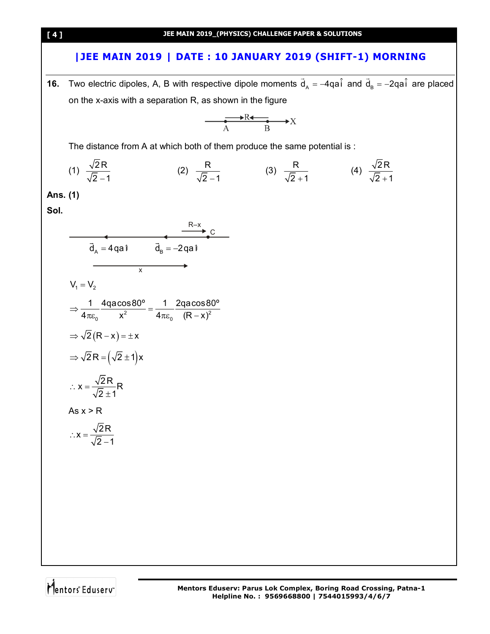### **|JEE MAIN 2019 | DATE : 10 JANUARY 2019 (SHIFT-1) MORNING**

**16.** Two electric dipoles, A, B with respective dipole moments  $\vec{d}_A = -4q\hat{a} \hat{i}$  and  $\vec{d}_B = -2q\hat{a} \hat{i}$ are placed on the x-axis with a separation R, as shown in the figure

$$
\overset{\longrightarrow}{A} \overset{R \leftarrow}{B} \overset{\longrightarrow}{X}
$$

The distance from A at which both of them produce the same potential is :

(1) 
$$
\frac{\sqrt{2R}}{\sqrt{2}-1}
$$
 (2)  $\frac{R}{\sqrt{2}-1}$  (3)  $\frac{R}{\sqrt{2}+1}$  (4)  $\frac{\sqrt{2R}}{\sqrt{2}+1}$ 

**Ans. (1)**

**Sol.**

$$
\frac{R-x}{\vec{a}_A = 4qa\hat{i}} \qquad \frac{R-x}{\vec{a}_B = -2qa\hat{i}}
$$
\n
$$
V_1 = V_2
$$
\n
$$
\Rightarrow \frac{1}{4\pi\epsilon_0} \frac{4qa\cos 80^\circ}{x^2} = \frac{1}{4\pi\epsilon_0} \frac{2qa\cos 80^\circ}{(R-x)^2}
$$
\n
$$
\Rightarrow \sqrt{2}(R-x) = \pm x
$$
\n
$$
\Rightarrow \sqrt{2}R = (\sqrt{2} \pm 1)x
$$
\n
$$
\therefore x = \frac{\sqrt{2}R}{\sqrt{2} \pm 1}R
$$
\n
$$
As x > R
$$
\n
$$
\therefore x = \frac{\sqrt{2}R}{\sqrt{2} - 1}
$$

Mentors<sup>e</sup> Eduserv<sup>-</sup>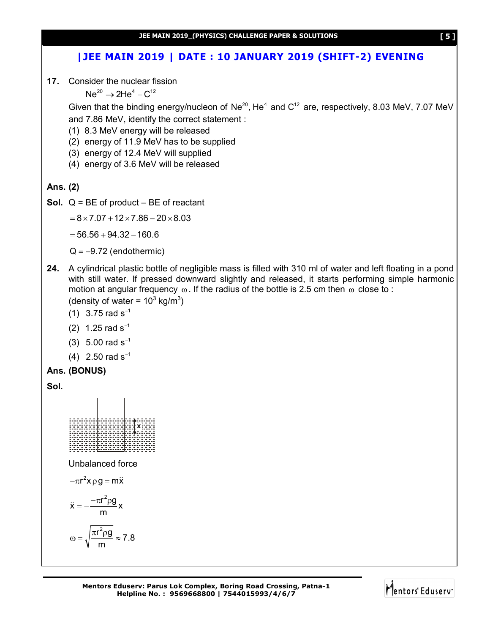# **|JEE MAIN 2019 | DATE : 10 JANUARY 2019 (SHIFT-2) EVENING**

**17.** Consider the nuclear fission

 $Ne^{20} \to 2He^{4} + C^{12}$ 

Given that the binding energy/nucleon of  $Ne^{20}$ , He<sup>4</sup> and  $C^{12}$  are, respectively, 8.03 MeV, 7.07 MeV and 7.86 MeV, identify the correct statement :

(1) 8.3 MeV energy will be released

(2) energy of 11.9 MeV has to be supplied

(3) energy of 12.4 MeV will supplied

(4) energy of 3.6 MeV will be released

### **Ans. (2)**

**Sol.** Q = BE of product – BE of reactant

 $= 8 \times 7.07 + 12 \times 7.86 - 20 \times 8.03$ 

 $= 56.56 + 94.32 - 160.6$ 

 $Q = -9.72$  (endothermic)

**24.** A cylindrical plastic bottle of negligible mass is filled with 310 ml of water and left floating in a pond with still water. If pressed downward slightly and released, it starts performing simple harmonic motion at angular frequency  $\omega$ . If the radius of the bottle is 2.5 cm then  $\omega$  close to :

(density of water =  $10^3$  kg/m<sup>3</sup>)

- (1) 3.75 rad  $s^{-1}$
- (2) 1.25 rad  $s^{-1}$
- (3)  $5.00$  rad s<sup>-1</sup>
- (4)  $2.50$  rad s<sup>-1</sup>

```
Ans. (BONUS)
```
**Sol.**



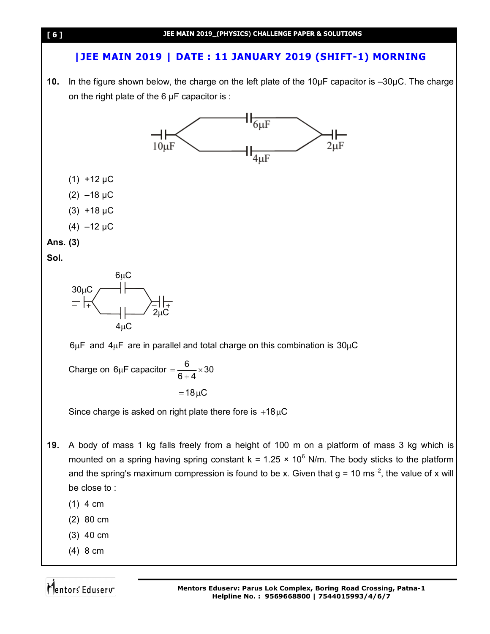

# **|JEE MAIN 2019 | DATE : 11 JANUARY 2019 (SHIFT-1) MORNING**

**10.** In the figure shown below, the charge on the left plate of the 10µF capacitor is –30µC. The charge on the right plate of the  $6 \mu$ F capacitor is :



- $(1)$  4 cm
- (2) 80 cm
- (3) 40 cm
- (4) 8 cm

Mentors Eduserv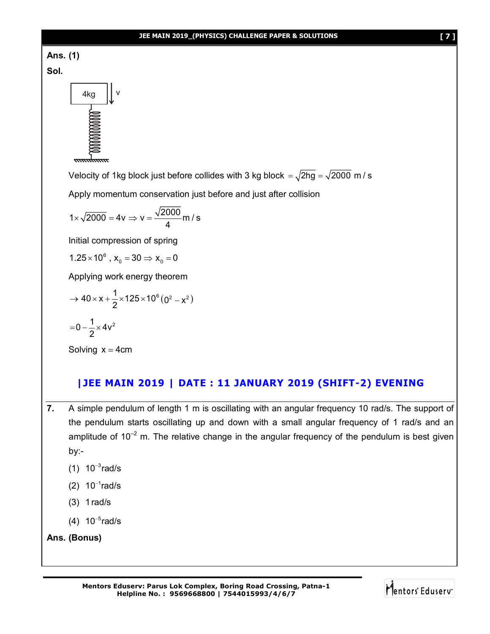

**Sol.**



Velocity of 1kg block just before collides with 3 kg block  $= \sqrt{2hg} = \sqrt{2000}$  m/s

Apply momentum conservation just before and just after collision

$$
1 \times \sqrt{2000} = 4v \Rightarrow v = \frac{\sqrt{2000}}{4} m/s
$$

Initial compression of spring

$$
1.25 \times 10^6
$$
,  $x_0 = 30 \Rightarrow x_0 = 0$ 

Applying work energy theorem

$$
\rightarrow 40 \times x + \frac{1}{2} \times 125 \times 10^6 (0^2 - x^2)
$$

$$
= 0 - \frac{1}{2} \times 4v^2
$$

Solving  $x \approx 4$ cm

### **|JEE MAIN 2019 | DATE : 11 JANUARY 2019 (SHIFT-2) EVENING**

- **7.** A simple pendulum of length 1 m is oscillating with an angular frequency 10 rad/s. The support of the pendulum starts oscillating up and down with a small angular frequency of 1 rad/s and an amplitude of  $10^{-2}$  m. The relative change in the angular frequency of the pendulum is best given by:-
	- (1)  $10^{-3}$ rad/s
	- (2)  $10^{-1}$ rad/s
	- (3) 1rad/s
	- (4)  $10^{-5}$ rad/s

```
Ans. (Bonus)
```
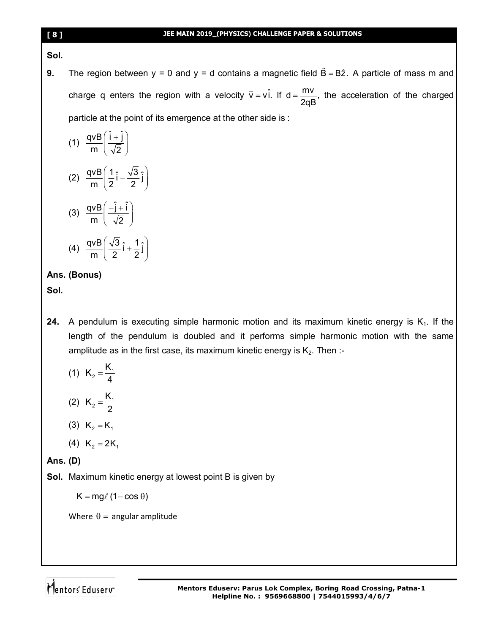#### **Sol.**

**9.** The region between  $y = 0$  and  $y = d$  contains a magnetic field  $B = B\hat{z}$ .  $\overline{\phantom{a}}$ A particle of mass m and charge q enters the region with a velocity  $\vec{v} = v \hat{i}$ . If  $d = \frac{mv}{2m}$ , 2qB  $=\frac{114}{100}$ , the acceleration of the charged particle at the point of its emergence at the other side is :

(1) 
$$
\frac{qvB}{m} \left( \frac{\hat{i} + \hat{j}}{\sqrt{2}} \right)
$$
  
(2) 
$$
\frac{qvB}{m} \left( \frac{1}{2} \hat{i} - \frac{\sqrt{3}}{2} \hat{j} \right)
$$
  
(3) 
$$
\frac{qvB}{m} \left( -\frac{\hat{j} + \hat{i}}{\sqrt{2}} \right)
$$

(4)  $\frac{qvB}{2} \left( \frac{\sqrt{3}}{2} \hat{i} + \frac{1}{2} \hat{j} \right)$  $\frac{W}{m} \left( \frac{\sqrt{3}}{2} \hat{i} + \frac{1}{2} \hat{j} \right)$  $(2 2)$ 

# **Ans. (Bonus)**

**Sol.**

- **24.** A pendulum is executing simple harmonic motion and its maximum kinetic energy is  $K_1$ . If the length of the pendulum is doubled and it performs simple harmonic motion with the same amplitude as in the first case, its maximum kinetic energy is  $K_2$ . Then :-
	- (1)  $K_2 = \frac{N_1}{4}$  $K_2 = \frac{K}{4}$ 4  $=$
	- (2)  $K_2 = \frac{N_1}{2}$  $K_2 = \frac{K}{2}$ 2  $=$
	- (3)  $K_2 = K_1$
	- (4)  $K_2 = 2K_1$

**Ans. (D)**

**Sol.** Maximum kinetic energy at lowest point B is given by

 $K = mg\ell (1 - \cos \theta)$ 

Where  $\theta$  = angular amplitude

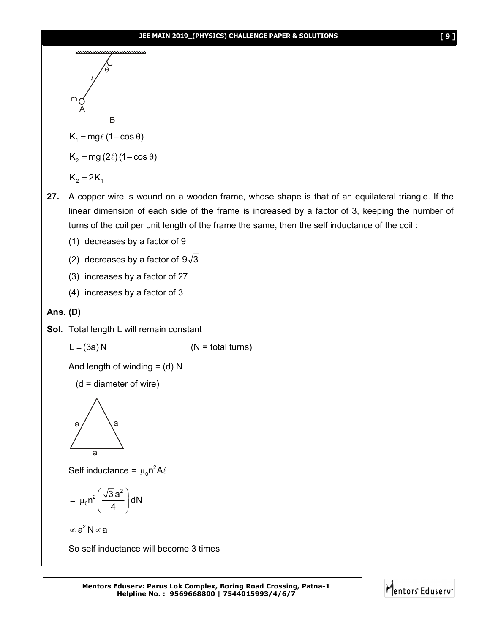#### **JEE MAIN 2019\_(PHYSICS) CHALLENGE PAPER & SOLUTIONS [ 9 ]**



$$
K_2=2K_1
$$

- **27.** A copper wire is wound on a wooden frame, whose shape is that of an equilateral triangle. If the linear dimension of each side of the frame is increased by a factor of 3, keeping the number of turns of the coil per unit length of the frame the same, then the self inductance of the coil :
	- (1) decreases by a factor of 9
	- (2) decreases by a factor of  $9\sqrt{3}$
	- (3) increases by a factor of 27
	- (4) increases by a factor of 3

### **Ans. (D)**

**Sol.** Total length L will remain constant

$$
L = (3a) N \t\t (N = total turns)
$$

And length of winding  $=$  (d) N

$$
(d = diameter of wire)
$$



Self inductance =  $\mu_0 n^2 A \ell$ 

$$
= \mu_0 n^2 \left( \frac{\sqrt{3} a^2}{4} \right) dN
$$

 $\propto$  a<sup>2</sup> N  $\propto$  a

So self inductance will become 3 times

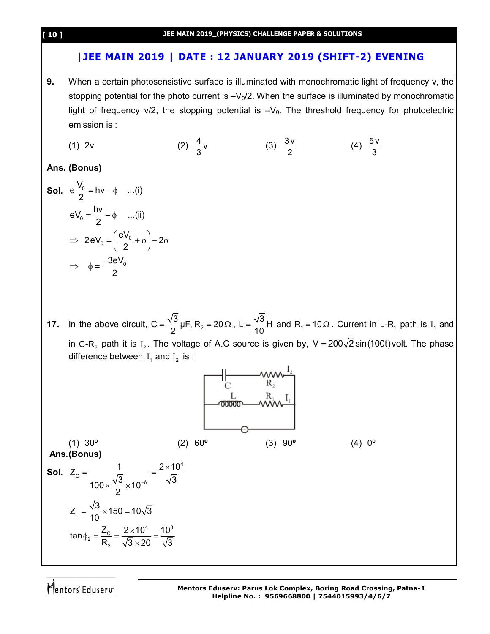### **|JEE MAIN 2019 | DATE : 12 JANUARY 2019 (SHIFT-2) EVENING**

- **9.** When a certain photosensistive surface is illuminated with monochromatic light of frequency v, the stopping potential for the photo current is  $-V_0/2$ . When the surface is illuminated by monochromatic light of frequency  $v/2$ , the stopping potential is  $-V<sub>0</sub>$ . The threshold frequency for photoelectric emission is :
	- (1) 2v (2)  $\frac{4}{5}v$ 3 (3)  $\frac{3v}{2}$ 2 (4)  $\frac{5v}{2}$ 3

**Ans. (Bonus)**

**Sol.** 
$$
e\frac{V_0}{2} = hv - \phi
$$
 ...(i)  
\n $eV_0 = \frac{hv}{2} - \phi$  ...(ii)  
\n $\Rightarrow 2eV_0 = \left(\frac{eV_0}{2} + \phi\right) - 2\phi$   
\n $\Rightarrow \phi = \frac{-3eV_0}{2}$ 

**17.** In the above circuit,  $C = \frac{\sqrt{3}}{2} \mu F$ , R<sub>2</sub> = 20 2  $=\frac{\sqrt{3}}{2}\mu F$ , R<sub>2</sub> = 20 $\Omega$ , L =  $\frac{\sqrt{3}}{12}H$  $=\frac{10}{10}$ H and R<sub>1</sub> = 10 $\Omega$ . Current in L-R<sub>1</sub> path is I<sub>1</sub> and in C-R<sub>2</sub> path it is I<sub>2</sub>. The voltage of A.C source is given by, V = 200 $\sqrt{2}$  sin(100t)volt. The phase difference between  $I_1$  and  $I_2$  is :



Mentors<sup>e</sup> Eduserv<sup>®</sup>